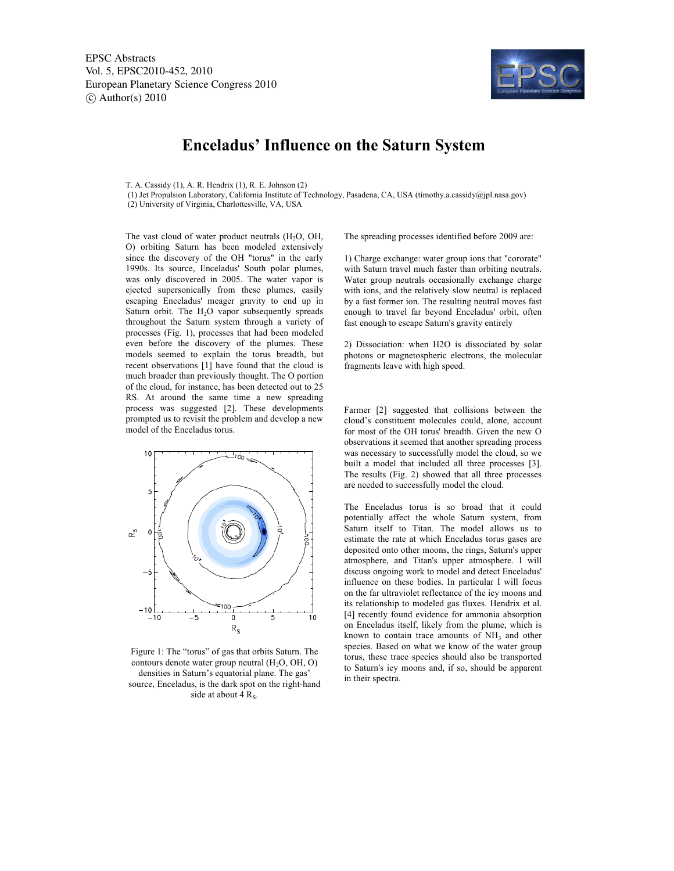EPSC Abstracts Vol. 5, EPSC2010-452, 2010 European Planetary Science Congress 2010  $\circ$  Author(s) 2010



## **Enceladus' Influence on the Saturn System**

T. A. Cassidy (1), A. R. Hendrix (1), R. E. Johnson (2)

 (1) Jet Propulsion Laboratory, California Institute of Technology, Pasadena, CA, USA (timothy.a.cassidy@jpl.nasa.gov) (2) University of Virginia, Charlottesville, VA, USA

The vast cloud of water product neutrals  $(H<sub>2</sub>O, OH,$ O) orbiting Saturn has been modeled extensively since the discovery of the OH "torus" in the early 1990s. Its source, Enceladus' South polar plumes, was only discovered in 2005. The water vapor is ejected supersonically from these plumes, easily escaping Enceladus' meager gravity to end up in Saturn orbit. The  $H<sub>2</sub>O$  vapor subsequently spreads throughout the Saturn system through a variety of processes (Fig. 1), processes that had been modeled even before the discovery of the plumes. These models seemed to explain the torus breadth, but recent observations [1] have found that the cloud is much broader than previously thought. The O portion of the cloud, for instance, has been detected out to 25 RS. At around the same time a new spreading process was suggested [2]. These developments prompted us to revisit the problem and develop a new model of the Enceladus torus.



Figure 1: The "torus" of gas that orbits Saturn. The contours denote water group neutral  $(H<sub>2</sub>O, OH, O)$ densities in Saturn's equatorial plane. The gas' source, Enceladus, is the dark spot on the right-hand side at about 4  $R_s$ .

The spreading processes identified before 2009 are:

1) Charge exchange: water group ions that "cororate" with Saturn travel much faster than orbiting neutrals. Water group neutrals occasionally exchange charge with ions, and the relatively slow neutral is replaced by a fast former ion. The resulting neutral moves fast enough to travel far beyond Enceladus' orbit, often fast enough to escape Saturn's gravity entirely

2) Dissociation: when H2O is dissociated by solar photons or magnetospheric electrons, the molecular fragments leave with high speed.

Farmer [2] suggested that collisions between the cloud's constituent molecules could, alone, account for most of the OH torus' breadth. Given the new O observations it seemed that another spreading process was necessary to successfully model the cloud, so we built a model that included all three processes [3]. The results (Fig. 2) showed that all three processes are needed to successfully model the cloud.

The Enceladus torus is so broad that it could potentially affect the whole Saturn system, from Saturn itself to Titan. The model allows us to estimate the rate at which Enceladus torus gases are deposited onto other moons, the rings, Saturn's upper atmosphere, and Titan's upper atmosphere. I will discuss ongoing work to model and detect Enceladus' influence on these bodies. In particular I will focus on the far ultraviolet reflectance of the icy moons and its relationship to modeled gas fluxes. Hendrix et al. [4] recently found evidence for ammonia absorption on Enceladus itself, likely from the plume, which is known to contain trace amounts of  $NH<sub>3</sub>$  and other species. Based on what we know of the water group torus, these trace species should also be transported to Saturn's icy moons and, if so, should be apparent in their spectra.